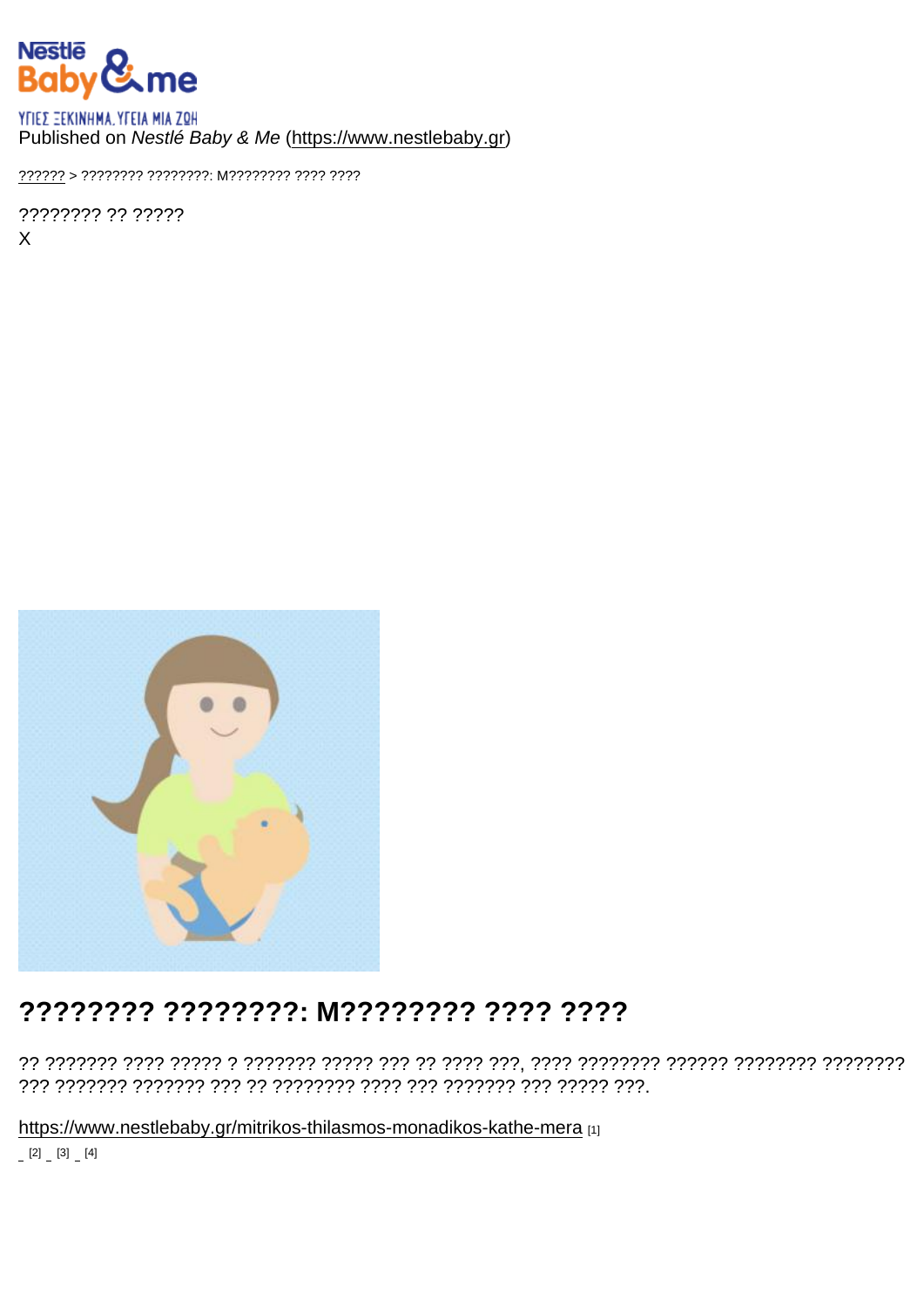## Published on Nestlé Baby & Me (https://www.nestlebaby.gr)

?????? > ???????? ????????? M??????? ???? ????

???????? ?? ?????  $\mathsf{X}$ 

## ???????? ????????: M???????? ???? ????

https://www.nestlebaby.gr/mitrikos-thilasmos-monadikos-kathe-mera [1]  $[2] [3] [4]$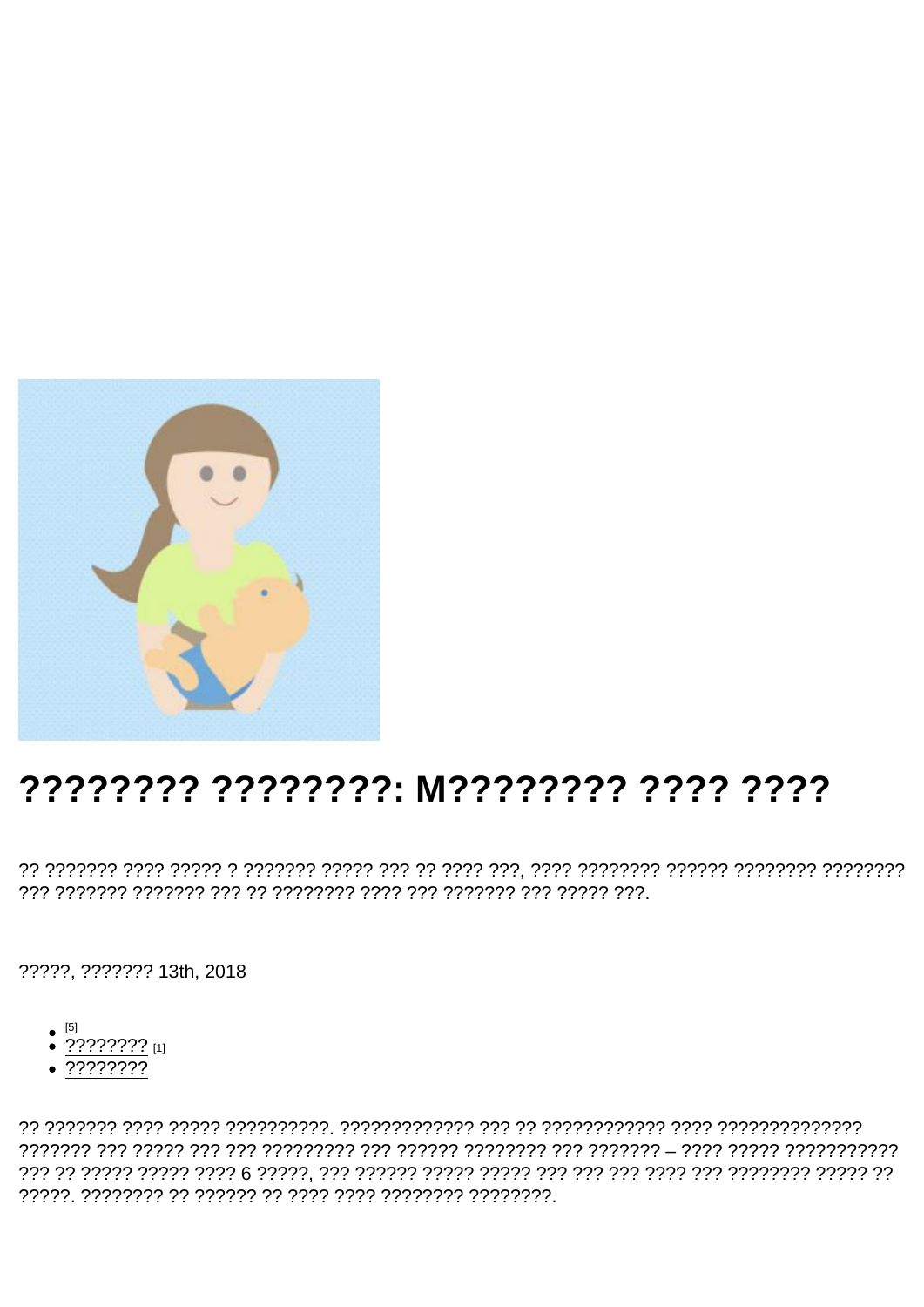# ???????? ????????: M???????? ???? ????

?????, ??????? 13th, 2018

- 
- $\bullet$  ???????? [1]
- ????????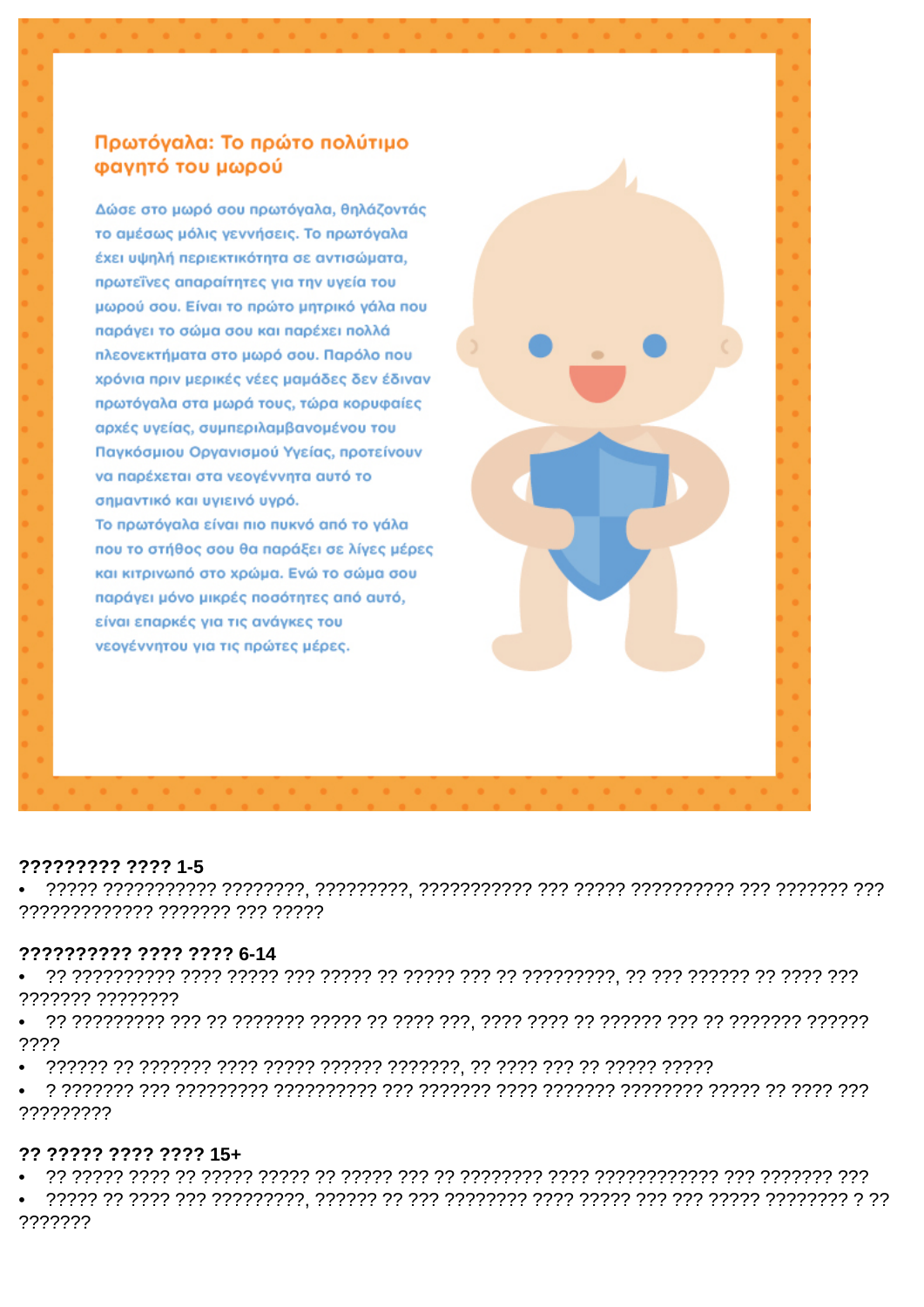## Πρωτόναλα: Το πρώτο πολύτιμο φαγητό του μωρού

Δώσε στο μωρό σου πρωτόναλα, θηλάζοντάς το αμέσως μόλις γεννήσεις. Το πρωτόγαλα έχει υψηλή περιεκτικότητα σε αντισώματα, πρωτεΐνες απαραίτητες για την υγεία του μωρού σου. Είναι το πρώτο μητρικό γάλα που παράγει το σώμα σου και παρέχει πολλά πλεονεκτήματα στο μωρό σου. Παρόλο που χρόνια πριν μερικές νέες μαμάδες δεν έδιναν πρωτόγαλα στα μωρά τους, τώρα κορυφαίες αρχές υγείας, συμπεριλαμβανομένου του Πανκόσμιου Οργανισμού Υγείας, προτείνουν να παρέχεται στα νεογέννητα αυτό το σημαντικό και υγιεινό υγρό. Το πρωτόγαλα είναι πιο πυκνό από το γάλα που το στήθος σου θα παράξει σε λίγες μέρες και κιτρινωπό στο χρώμα. Ενώ το σώμα σου παράγει μόνο μικρές ποσότητες από αυτό,

είναι επαρκές για τις ανάγκες του νεογέννητου για τις πρώτες μέρες.

#### ????????? ???? 1-5

7777777777777 7777777 777 77777

#### ?????????? ???? ???? 6-14

7777777 77777777

????

?????????

#### ?? ????? ???? ???? 15+

7777777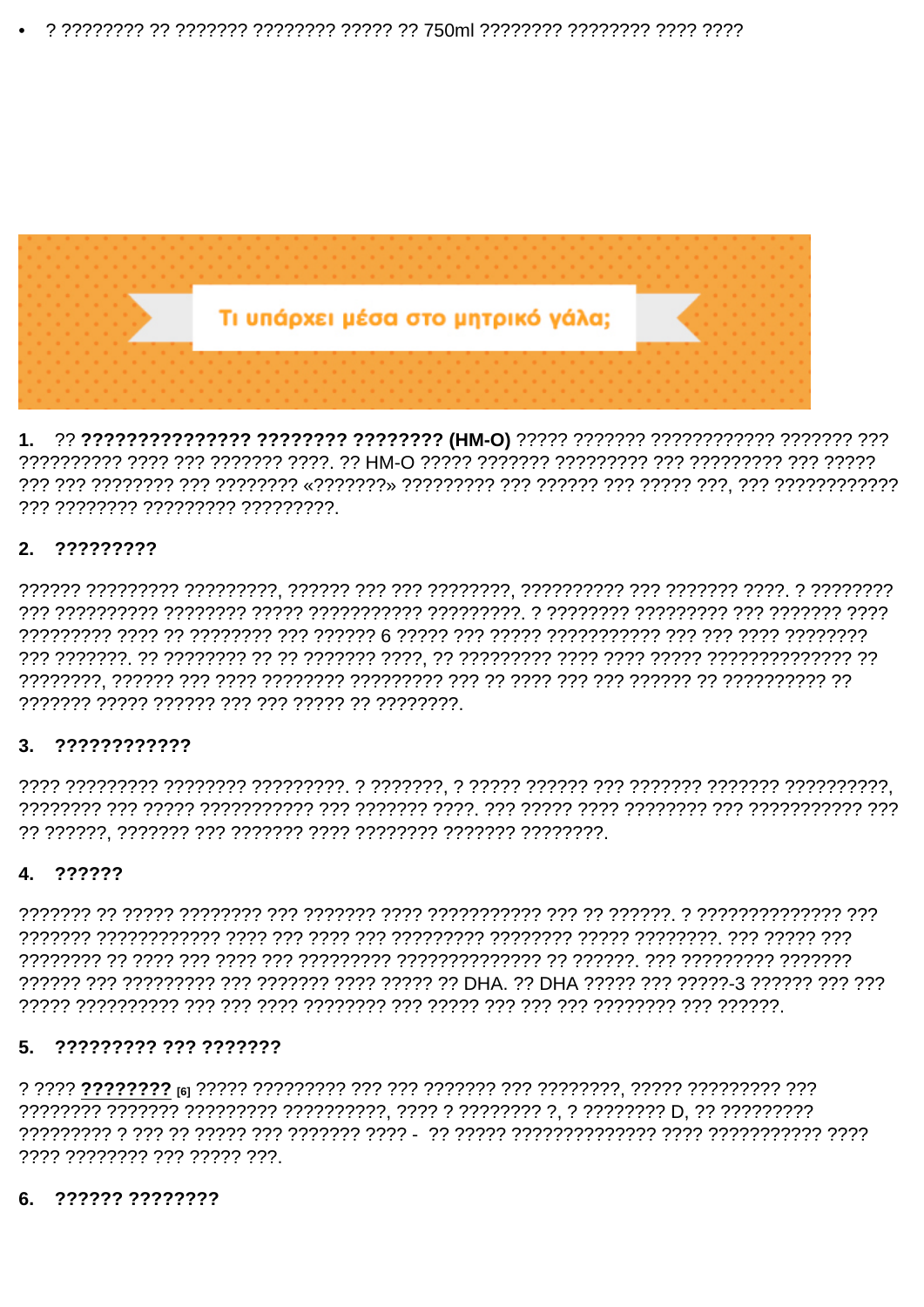1. 22 222222222222222 22222222 22222222 (HM-O) 22222 2222222 2222222222 2222222 223 777 77777777 777777777 777777777

## 2. ?????????

### $3.7222222222$

## 4. ??????

## 5. ????????? ??? ???????

, 2222 22222222 222 22222 222

## 6. ?????? ????????